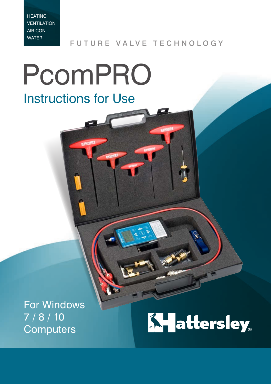FUTURE VALVE TECHNOLOGY

# PcomPRO Instructions for Use

For Windows 7 / 8 / 10 **Computers** 

# **Ky attersley**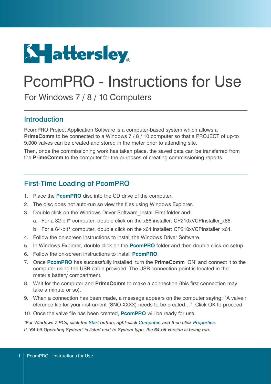

# PcomPRO - Instructions for Use

For Windows 7 / 8 / 10 Computers

#### Introduction

PcomPRO Project Application Software is a computer-based system which allows a **PrimeComm** to be connected to a Windows 7 / 8 / 10 computer so that a PROJECT of up-to 9,000 valves can be created and stored in the meter prior to attending site.

Then, once the commissioning work has taken place, the saved data can be transferred from the **PrimeComm** to the computer for the purposes of creating commissioning reports.

#### First-Time Loading of PcomPRO

- 1. Place the **PcomPRO** disc into the CD drive of the computer.
- 2. The disc does not auto-run so view the files using Windows Explorer.
- 3. Double click on the Windows Driver Software\_Install First folder and:
	- a. For a 32-bit\* computer, double click on the x86 installer: CP210xVCPInstaller x86.
	- b. For a 64-bit\* computer, double click on the x64 installer: CP210xVCPInstaller x64.
- 4. Follow the on-screen instructions to install the Windows Driver Software.
- 5. In Windows Explorer, double click on the **PcomPRO** folder and then double click on setup.
- 6. Follow the on-screen instructions to install **PcomPRO**.
- 7. Once **PcomPRO** has successfully installed, turn the **PrimeComm** 'ON' and connect it to the computer using the USB cable provided. The USB connection point is located in the meter's battery compartment.
- 8. Wait for the computer and **PrimeComm** to make a connection (this first connection may take a minute or so).
- 9. When a connection has been made, a message appears on the computer saying: "A valve r eference file for your instrument (SNO-XXXX) needs to be created…". Click OK to proceed.
- 10. Once the valve file has been created, **PcomPRO** will be ready for use.

*\*For Windows 7 PCs, click the Start button, right-click Computer, and then click Properties. If "64-bit Operating System" is listed next to System type, the 64-bit version is being run.*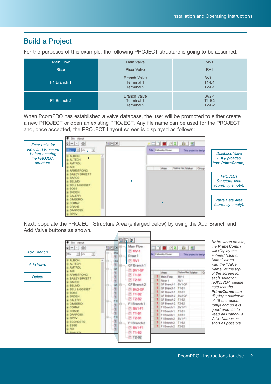#### Build a Project

For the purposes of this example, the following PROJECT structure is going to be assumed:

| <b>Main Flow</b> | Main Valve                                      | MV <sub>1</sub>                         |
|------------------|-------------------------------------------------|-----------------------------------------|
| <b>Riser</b>     | <b>Riser Valve</b>                              | RV <sub>1</sub>                         |
| F1 Branch 1      | <b>Branch Valve</b><br>Terminal 1<br>Terminal 2 | <b>BV1-1</b><br>$T1-B1$<br>$T2-B1$      |
| F1 Branch 2      | <b>Branch Valve</b><br>Terminal 1<br>Terminal 2 | <b>BV2-1</b><br>$T1-B2$<br><b>T2-B2</b> |

When PcomPRO has established a valve database, the user will be prompted to either create a new PROJECT or open an existing PROJECT. Any file name can be used for the PROJECT and, once accepted, the PROJECT Layout screen is displayed as follows:



Next, populate the PROJECT Structure Area (enlarged below) by using the Add Branch and Add Valve buttons as shown.



*Note: when on site, the PrimeComm will display the entered "Branch Name" along with the "Valve Name" at the top of the screen for each selection. HOWEVER, please note that the PrimeComm can display a maximum of 18 characters (only) and so it is good practice to keep all Branch- & Valve Names as short as possible.*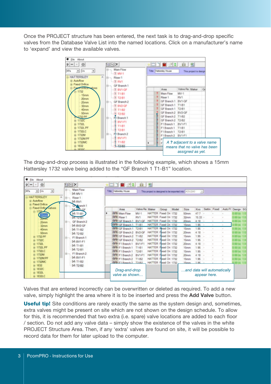Once the PROJECT structure has been entered, the next task is to drag-and-drop specific valves from the Database Valve List into the named locations. Click on a manufacturer's name to 'expand' and view the available valves.



The drag-and-drop process is illustrated in the following example, which shows a 15mm Hattersley 1732 valve being added to the "GF Branch 1 T1-B1" location.

| W File About                                             |                                                           |                               |                 |                             |                                                        |              |        |   |                                    |               |  |
|----------------------------------------------------------|-----------------------------------------------------------|-------------------------------|-----------------|-----------------------------|--------------------------------------------------------|--------------|--------|---|------------------------------------|---------------|--|
| $\mathsf{Q} \left  m \right  - \left  0 \right $         | <b>GIEIX</b>                                              | <b>SHIP SPIELER</b>           |                 |                             |                                                        |              |        |   |                                    |               |  |
| KPa<br>$-1.56$<br>회<br><b>HATTERSLEY</b>                 | Main Flow<br>异一<br>14 MV-1<br>$\mathcal{D}_{\mathcal{C}}$ | Title Hattenley House         |                 |                             | This project is designed to be exported into: ACE-2343 |              | 団      |   |                                    |               |  |
| a Autoflow<br>iii Faxed Orifice<br>Fixed Online valves   | Riser 1<br>14 RV1<br>Gr <sup>2</sup> ranch <sup>1</sup>   |                               |                 |                             |                                                        |              |        |   |                                    |               |  |
|                                                          | A BUTLO                                                   | Area                          | Valve Re: Maker | Group Model                 | Size                                                   |              |        |   | Kys Settin Fixed Auto FI Design SG |               |  |
|                                                          | 14 T1-B1                                                  | <b>BAH Main Flow</b>          | <b>MV-1</b>     | HATTER Fixed On 1732        | 50mm                                                   | 477          |        |   |                                    |               |  |
|                                                          | <b>IN 12-B</b>                                            | <b>BAH Riser 1</b>            | RV1             | HATTER Fauld On 1732        | 32mm                                                   | $15.33 -$    |        |   |                                    |               |  |
| 25mm                                                     | GF Branch 2<br>m.                                         | <b>BAH OF Branch 1 BV1-GF</b> |                 | HATTER Faxed On 1732        | 20 <sub>mm</sub>                                       | 4.18 -       |        |   |                                    |               |  |
| 32mm                                                     | 14 BV2-GF                                                 | -BAH GF Branch 1 T1-B1        |                 | HATTER Faxed On 1732        | 15mm                                                   | $1.96 -$     |        | w |                                    |               |  |
| 40mm                                                     | 34 T1-B2                                                  | -MH GF Branch 1 T2-B1         |                 | HATTER Paud On 1712         | 15mm                                                   | 1.95         |        |   |                                    |               |  |
| <b>SOmm</b>                                              | 14 T2-B2                                                  | -94- GF Branch 2 BV2-GF       |                 | HATTER Flood On 1732        | 20mm                                                   | 4.18         | ÷      |   |                                    |               |  |
| H-1732 PF                                                | F1 Branch 1<br>le-                                        | <b>RAIL OF Branch 2 T1-82</b> |                 | HATTER Food On 1732         | 15mm                                                   | 1.95         |        |   |                                    |               |  |
| <b>■ 1732C</b>                                           | <b>IA BV1-F1</b>                                          | -MH GF Branch 2 T2-82         |                 | HATTER Fixed On 1732        | 15mm                                                   | 195          | $\sim$ |   |                                    |               |  |
| 中 1732L                                                  | 14 T1-81                                                  | <b>BO-F1Branch 1 BV1-F1</b>   |                 | HATTER Fixed On 1732        | 20mm                                                   | 4.18         | ÷.     |   |                                    |               |  |
| iii 1732L PF                                             |                                                           | -BAH F1 Branch 1              | $T1-61$         | HATTER Fixed On 1732        | 15mm                                                   | 1.95         |        |   |                                    |               |  |
| <b>第 1732LC</b>                                          | <b>JA T2-B1</b>                                           | -34- F1 Branch 1              | T2-81           | HATTER Flood On 1732        | 15mm                                                   | 1.95         | -      |   |                                    |               |  |
| III 1732M                                                | B- F1 Branch 2                                            | BAHF1Branch 2 BV1-F1          |                 | HATTER Fixed On 1732        | 20mm                                                   | 4.18         | $\sim$ |   |                                    |               |  |
| si-1732M PF                                              | <b>JA BV1-F1</b>                                          | <b>BAH F1 Branch 2 T1-82</b>  |                 | HATTER Fored On 1732        | 15mm                                                   | 1.95         | 0k     |   |                                    | <b>00 (m)</b> |  |
| SE 1732MC                                                | 54 T1-82                                                  | 00-F18mmh2 T3-82              |                 | HATTER Fixed On 1732        | Slamm                                                  | 4.06         |        |   |                                    |               |  |
| $ 4 $ 1832<br>14 T2-B2<br>9 1832C<br>由 1832L<br># 1832LC | Drag-and-drop<br>valve as shown                           |                               |                 | and data will automatically |                                                        | appear here. |        |   |                                    |               |  |

Valves that are entered incorrectly can be overwritten or deleted as required. To add a new valve, simply highlight the area where it is to be inserted and press the **Add Valve** button.

**Useful tip!** Site conditions are rarely exactly the same as the system design and, sometimes, extra valves might be present on site which are not shown on the design schedule. To allow for this, it is recommended that two extra (i.e. spare) valve locations are added to each floor / section. Do not add any valve data – simply show the existence of the valves in the white PROJECT Structure Area. Then, if any 'extra' valves are found on site, it will be possible to record data for them for later upload to the computer.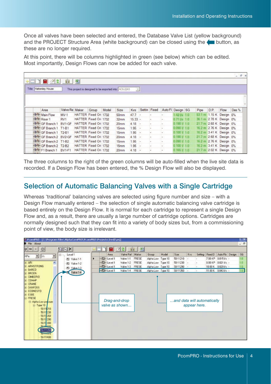Once all valves have been selected and entered, the Database Valve List (yellow background) and the PROJECT Structure Area (white background) can be closed using the  $\bullet$  button, as these are no longer required.

At this point, there will be columns highlighted in green (see below) which can be edited. Most importantly, Design Flows can now be added for each valve.

| ↓□□■∥2                         | 11 图           |                       |       |                                                        |                          |               |           |                          |                 |      |      |                         | $ B$ $\times$ |
|--------------------------------|----------------|-----------------------|-------|--------------------------------------------------------|--------------------------|---------------|-----------|--------------------------|-----------------|------|------|-------------------------|---------------|
| Title Hattersley House         |                |                       |       | This project is designed to be exported into: AC6-2243 | $\overline{\phantom{a}}$ |               |           |                          |                 |      |      |                         |               |
|                                |                |                       |       |                                                        |                          |               |           |                          |                 |      |      |                         |               |
|                                |                |                       |       |                                                        |                          |               |           |                          |                 |      |      |                         |               |
| Area                           | Valve Re Maker | Group                 | Model | Size                                                   | Kvs                      | Settin Fixed  |           | Auto FI Design SG        |                 | Pipe | D.P. | Flow                    | Des %         |
| <b>BA-Main Flow</b>            | $MV-1$         | HATTER Fixed On 1732  |       | 50mm                                                   | $47.7 +$                 |               |           | $\sim$                   | $1.421/s$ 1.0   |      |      | 53.1 m 1.15 K Design 0% |               |
| <b>BA</b> Riser 1              | RV1            | HATTER Fixed Ori 1732 |       | 32mm                                                   | $15.33 -$                |               |           | $\sim$                   | $0.711/s - 1.0$ |      |      | 36 1 m 2.78 K Design 0% |               |
| -44 GF Branch 1                | BV1-GF         | HATTER Fixed Ori 1732 |       | 20mm                                                   | $4.18 -$                 |               | ×         | $\sim$                   | 0.190V10        |      |      | 21.7 m 2.68 K Design 0% |               |
| <b>TM-GF Branch 1</b>          | $T1-B1$        | HATTER Fixed Ori 1732 |       | 15mm                                                   | 1.95                     | $\sim$        | ×         | $\overline{\phantom{a}}$ | 0090110         |      |      | 16.2 m 2.76 K Design 0% |               |
| -3-4- GF Branch 1 T2-B1        |                | HATTER Fixed Ori 1732 |       | 15mm                                                   | $1.95 -$                 |               | $\bullet$ | $\sim$                   | 0,100,1,1,0     |      |      | 16.2 m 3.41 K Design 0% |               |
| <b>INGF</b> GF Branch 2 BV2-GF |                | HATTER Fixed Ori 1732 |       | 20mm                                                   | 4.18                     | $\rightarrow$ | ×         | le :-                    | 0.190V10        |      |      | 21.7 m 2.68 K Design 0% |               |
| <b>AA GF Branch 2 T1-B2</b>    |                | HATTER Fixed Ori 1732 |       | 15mm                                                   | 1.95                     | -14           | ×         | $\sim$                   | 0.090V10        |      |      | 16.2 m 2.76 K Design 0% |               |
| <b>RAH GF Branch 2 T2-B2</b>   |                | HATTER Fixed On 1732  |       | 15mm                                                   | 1.95                     | $\sim$        | ×         | œ                        | 0.100V1.0       |      |      | 16.2 m 3.41 K Design 0% |               |
| <b>HAH F1 Branch 1</b>         | <b>BV1-F1</b>  | HATTER Fixed Ori 1732 |       | 20mm                                                   | $4.18 -$                 |               | ×         | 53                       | 0.165V1.0       |      |      | 21.7 m 2.02 K Design 0% |               |

The three columns to the right of the green columns will be auto-filled when the live site data is recorded. If a Design Flow has been entered, the % Design Flow will also be displayed.

#### Selection of Automatic Balancing Valves with a Single Cartridge

Whereas 'traditional' balancing valves are selected using figure number and size – with a Design Flow manually entered – the selection of single automatic balancing valve cartridge is based entirely on the Design Flow. It is normal for each cartridge to represent a single Design Flow and, as a result, there are usually a large number of cartridge options. Cartridges are normally designed such that they can fit into a variety of body sizes but, from a commissioning point of view, the body size is irrelevant.

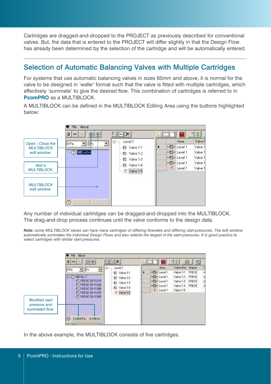Cartridges are dragged-and-dropped to the PROJECT as previously described for conventional valves. But, the data that is entered to the PROJECT will differ slightly in that the Design Flow has already been determined by the selection of the cartridge and will be automatically entered.

### Selection of Automatic Balancing Valves with Multiple Cartridges

For systems that use automatic balancing valves in sizes 65mm and above, it is normal for the valve to be designed in 'wafer' format such that the valve is fitted with multiple cartridges, which effectively 'summate' to give the desired flow. This combination of cartridges is referred to in **PcomPRO** as a MULTIBLOCK.

A MULTIBLOCK can be defined in the MULTIBLOCK Editing Area using the buttons highlighted below:



Any number of individual cartridges can be dragged-and-dropped into the MULTIBLOCK. The drag-and-drop process continues until the valve conforms to the design data.

*Note: some MULTIBLOCK valves can have many cartridges of differing flowrates and differing start-pressures. The edit window automatically summates the individual Design Flows and also selects the largest of the start-pressures. It is good practice to select cartridges with similar start-pressures.*



In the above example, the MULTIBLOCK consists of five cartridges.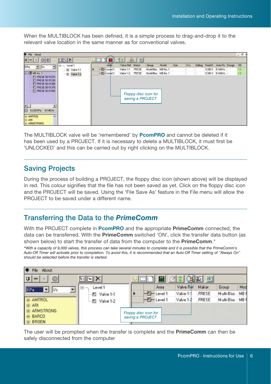When the MULTIBLOCK has been defined, it is a simple process to drag-and-drop it to the relevant valve location in the same manner as for conventional valves.

| File About                                                                                                                                                                                                                                                                                                                                          |                    |               |           |       |                                           |       |      |     |   |                                    | $ \theta$ |
|-----------------------------------------------------------------------------------------------------------------------------------------------------------------------------------------------------------------------------------------------------------------------------------------------------------------------------------------------------|--------------------|---------------|-----------|-------|-------------------------------------------|-------|------|-----|---|------------------------------------|-----------|
| $\begin{picture}(16,10) \put(0,0){\line(1,0){10}} \put(15,0){\line(1,0){10}} \put(15,0){\line(1,0){10}} \put(15,0){\line(1,0){10}} \put(15,0){\line(1,0){10}} \put(15,0){\line(1,0){10}} \put(15,0){\line(1,0){10}} \put(15,0){\line(1,0){10}} \put(15,0){\line(1,0){10}} \put(15,0){\line(1,0){10}} \put(15,0){\line(1,0){10}} \put(15,0){\line(1$ | EDX                |               |           | 圖     |                                           |       |      |     |   |                                    |           |
| $V_3$<br>KPa<br>۰                                                                                                                                                                                                                                                                                                                                   | Level 1<br>$B - 1$ | Area          | Valve Ref | Maker | Group                                     | Model | Size | Kva |   | Setting Fixed D Auto Flo Design SG |           |
|                                                                                                                                                                                                                                                                                                                                                     | Nalve 1-1          | $-E$ -Level 1 | Valve 1-1 | FRESE | Multi-Bloc MB No. 1                       |       |      |     |   | 12.00 K 0.1491/s                   | 1.0       |
| $=$ $($ MB No. 1<br><b>FO FRESE 50-11210</b>                                                                                                                                                                                                                                                                                                        | 图 Valve 1-2        | $-B$ -Level 1 | Valve 1-2 | FRESE | Multi-Bloc MB No. 1                       |       |      |     | × | 12.00 K 0.149 Vs -                 | 1.8       |
| FT FRESE 50-11230<br>FT FRESE 50-11300<br>FT FRESE 50-11370<br>ED FRESE 50-11300<br>$\blacksquare$<br>×<br>12.00 KPa<br>$0.149V$ s<br>E AMTROL<br>×<br>由 ARI<br>E ARMSTRONG                                                                                                                                                                         |                    |               |           |       | Floppy disc icon for<br>saving a PROJECT. |       |      |     |   |                                    |           |

The MULTIBLOCK valve will be 'remembered' by **PcomPRO** and cannot be deleted if it has been used by a PROJECT. If it is necessary to delete a MULTIBLOCK, it must first be 'UNLOCKED' and this can be carried out by right clicking on the MULTIBLOCK.

#### Saving Projects

During the process of building a PROJECT, the floppy disc icon (shown above) will be displayed in red. This colour signifies that the file has not been saved as yet. Click on the floppy disc icon and the PROJECT will be saved. Using the 'File Save As' feature in the File menu will allow the PROJECT to be saved under a different name.

#### Transferring the Data to the *PrimeComm*

With the PROJECT complete in **PcomPRO** and the appropriate **PrimeComm** connected, the data can be transferred. With the **PrimeComm** switched 'ON', click the transfer data button (as shown below) to start the transfer of data from the computer to the **PrimeComm**.\*

*\*With a capacity of 9,000 valves, this process can take several minutes to complete and it is possible that the PrimeComm's Auto-Off Timer will activate prior to completion. To avoid this, it is recommended that an Auto-Off Timer setting of "Always On" should be selected before the transfer is started.*



The user will be prompted when the transfer is complete and the **PrimeComm** can then be safely disconnected from the computer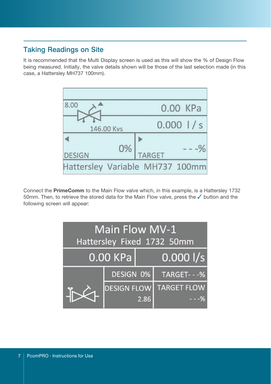### Taking Readings on Site

It is recommended that the Multi Display screen is used as this will show the % of Design Flow being measured. Initially, the valve details shown will be those of the last selection made (in this case, a Hattersley MH737 100mm).



Connect the **PrimeComm** to the Main Flow valve which, in this example, is a Hattersley 1732 50mm. Then, to retrieve the stored data for the Main Flow valve, press the  $\checkmark$  button and the following screen will appear:

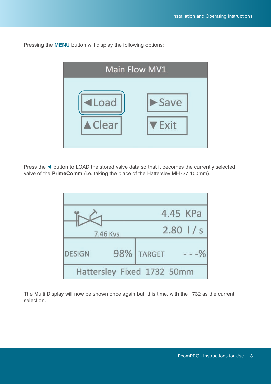Pressing the **MENU** button will display the following options:



Press the  $\blacktriangleleft$  button to LOAD the stored valve data so that it becomes the currently selected valve of the **PrimeComm** (i.e. taking the place of the Hattersley MH737 100mm).



The Multi Display will now be shown once again but, this time, with the 1732 as the current selection.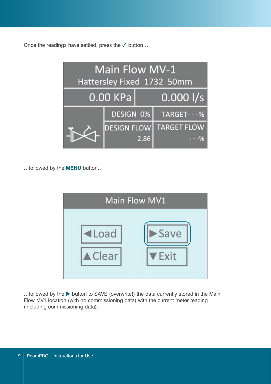Once the readings have settled, press the  $\checkmark$  button...



…followed by the **MENU** button…

| Main Flow MV1  |             |  |  |  |  |  |  |  |  |  |
|----------------|-------------|--|--|--|--|--|--|--|--|--|
| <b>ILoad</b>   | Save        |  |  |  |  |  |  |  |  |  |
| <b>△</b> Clear | <b>Exit</b> |  |  |  |  |  |  |  |  |  |

 $\ldots$  followed by the button to SAVE (overwrite!) the data currently stored in the Main Flow MV1 location (with no commissioning data) with the current meter reading (including commissioning data).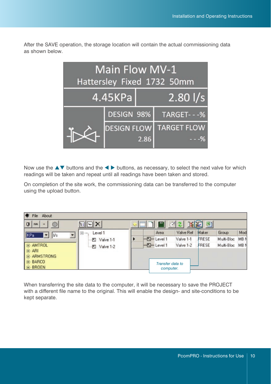After the SAVE operation, the storage location will contain the actual commissioning data as shown below.

| Main Flow MV-1<br>Hattersley Fixed 1732 50mm |                    |      |                    |  |  |  |  |  |  |  |
|----------------------------------------------|--------------------|------|--------------------|--|--|--|--|--|--|--|
|                                              | 4.45KPa            |      | $2.80$ $1/s$       |  |  |  |  |  |  |  |
|                                              | DESIGN 98%         |      | TARGET---%         |  |  |  |  |  |  |  |
|                                              | <b>DESIGN FLOW</b> |      | <b>TARGET FLOW</b> |  |  |  |  |  |  |  |
|                                              |                    | 2.86 |                    |  |  |  |  |  |  |  |

Now use the  $\blacktriangle\blacktriangledown$  buttons and the  $\blacktriangle\blacktriangleright$  buttons, as necessary, to select the next valve for which readings will be taken and repeat until all readings have been taken and stored.

On completion of the site work, the commissioning data can be transferred to the computer using the upload button.

| About<br>File                                                    |                             |                               |           |       |                 |      |
|------------------------------------------------------------------|-----------------------------|-------------------------------|-----------|-------|-----------------|------|
| $\circ$<br>$\mathbf{\mathbf{a}}$<br>mm<br>$\left  \cdot \right $ | EE                          |                               | 예<br>耳【矩】 | 뙌     |                 |      |
| KPa<br>$\blacktriangledown$<br> Vs                               | Level 1<br>급<br><b>VIRG</b> | Area                          | Valve Ref | Maker | Group           | Mod  |
|                                                                  | Valve 1-1<br>K.             | $-F$ -Level 1                 | Valve 1-1 | FRESE | Multi-Bloc      | MB N |
| <b>E-AMTROL</b><br>田 ARI                                         | Valve 1-2<br>因              | $-E$ -Level 1                 | Valve 1-2 | FRESE | Multi-Bloc MB N |      |
| E-ARMSTRONG<br>E BARCO<br><b>E-BROEN</b>                         |                             | Transfer data to<br>computer. |           |       |                 |      |

When transferring the site data to the computer, it will be necessary to save the PROJECT with a different file name to the original. This will enable the design- and site-conditions to be kept separate.